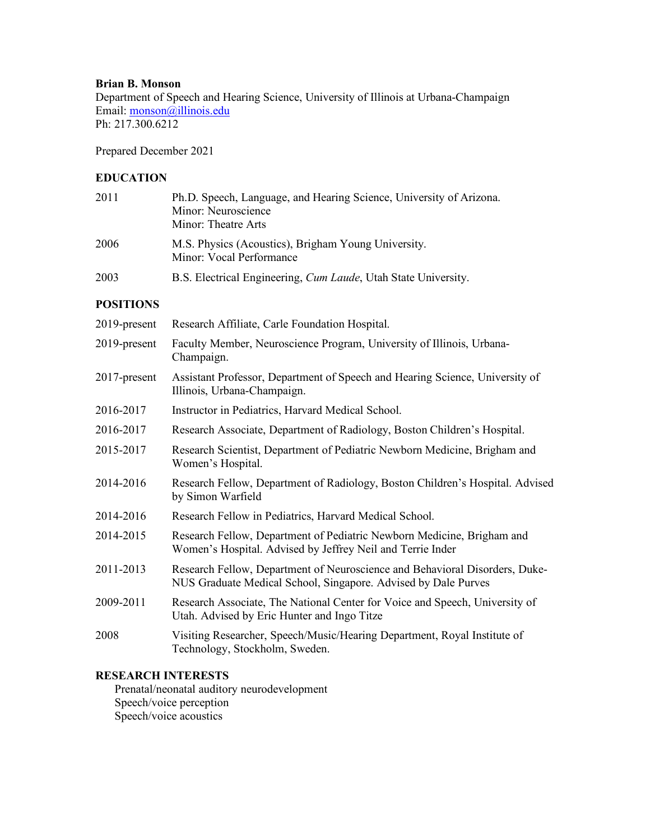## **Brian B. Monson**

Department of Speech and Hearing Science, University of Illinois at Urbana-Champaign Email: monson@illinois.edu Ph: 217.300.6212

Prepared December 2021

## **EDUCATION**

| 2011             | Ph.D. Speech, Language, and Hearing Science, University of Arizona.<br>Minor: Neuroscience<br>Minor: Theatre Arts                              |
|------------------|------------------------------------------------------------------------------------------------------------------------------------------------|
| 2006             | M.S. Physics (Acoustics), Brigham Young University.<br>Minor: Vocal Performance                                                                |
| 2003             | B.S. Electrical Engineering, <i>Cum Laude</i> , Utah State University.                                                                         |
| <b>POSITIONS</b> |                                                                                                                                                |
| 2019-present     | Research Affiliate, Carle Foundation Hospital.                                                                                                 |
| 2019-present     | Faculty Member, Neuroscience Program, University of Illinois, Urbana-<br>Champaign.                                                            |
| 2017-present     | Assistant Professor, Department of Speech and Hearing Science, University of<br>Illinois, Urbana-Champaign.                                    |
| 2016-2017        | Instructor in Pediatrics, Harvard Medical School.                                                                                              |
| 2016-2017        | Research Associate, Department of Radiology, Boston Children's Hospital.                                                                       |
| 2015-2017        | Research Scientist, Department of Pediatric Newborn Medicine, Brigham and<br>Women's Hospital.                                                 |
| 2014-2016        | Research Fellow, Department of Radiology, Boston Children's Hospital. Advised<br>by Simon Warfield                                             |
| 2014-2016        | Research Fellow in Pediatrics, Harvard Medical School.                                                                                         |
| 2014-2015        | Research Fellow, Department of Pediatric Newborn Medicine, Brigham and<br>Women's Hospital. Advised by Jeffrey Neil and Terrie Inder           |
| 2011-2013        | Research Fellow, Department of Neuroscience and Behavioral Disorders, Duke-<br>NUS Graduate Medical School, Singapore. Advised by Dale Purves  |
| 2009-2011        | Research Associate, The National Center for Voice and Speech, University of<br>Utah. Advised by Eric Hunter and Ingo Titze                     |
|                  | $\mathbf{r}$ $\mathbf{r}$ $\mathbf{r}$ $\mathbf{r}$ $\mathbf{r}$ $\mathbf{r}$ $\mathbf{r}$ $\mathbf{r}$ $\mathbf{r}$ $\mathbf{r}$ $\mathbf{r}$ |

2008 Visiting Researcher, Speech/Music/Hearing Department, Royal Institute of Technology, Stockholm, Sweden.

### **RESEARCH INTERESTS**

Prenatal/neonatal auditory neurodevelopment Speech/voice perception Speech/voice acoustics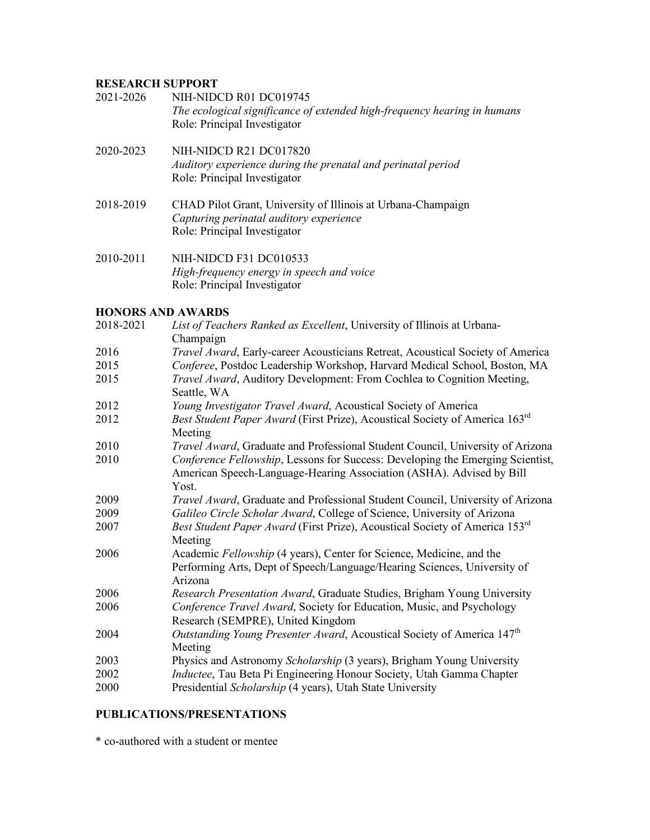# **RESEARCH SUPPORT**

| 2021-2026 | NIH-NIDCD R01 DC019745<br>The ecological significance of extended high-frequency hearing in humans<br>Role: Principal Investigator      |
|-----------|-----------------------------------------------------------------------------------------------------------------------------------------|
| 2020-2023 | NIH-NIDCD R21 DC017820<br>Auditory experience during the prenatal and perinatal period<br>Role: Principal Investigator                  |
| 2018-2019 | CHAD Pilot Grant, University of Illinois at Urbana-Champaign<br>Capturing perinatal auditory experience<br>Role: Principal Investigator |
| 2010-2011 | NIH-NIDCD F31 DC010533<br>High-frequency energy in speech and voice<br>Role: Principal Investigator                                     |
|           | <b>HONORS AND AWARDS</b>                                                                                                                |

| 2018-2021 | List of Teachers Ranked as Excellent, University of Illinois at Urbana-<br>Champaign                                                                            |
|-----------|-----------------------------------------------------------------------------------------------------------------------------------------------------------------|
| 2016      | Travel Award, Early-career Acousticians Retreat, Acoustical Society of America                                                                                  |
| 2015      | Conferee, Postdoc Leadership Workshop, Harvard Medical School, Boston, MA                                                                                       |
| 2015      | Travel Award, Auditory Development: From Cochlea to Cognition Meeting,<br>Seattle, WA                                                                           |
| 2012      | Young Investigator Travel Award, Acoustical Society of America                                                                                                  |
| 2012      | Best Student Paper Award (First Prize), Acoustical Society of America 163rd<br>Meeting                                                                          |
| 2010      | Travel Award, Graduate and Professional Student Council, University of Arizona                                                                                  |
| 2010      | Conference Fellowship, Lessons for Success: Developing the Emerging Scientist,<br>American Speech-Language-Hearing Association (ASHA). Advised by Bill<br>Yost. |
| 2009      | Travel Award, Graduate and Professional Student Council, University of Arizona                                                                                  |
| 2009      | Galileo Circle Scholar Award, College of Science, University of Arizona                                                                                         |
| 2007      | Best Student Paper Award (First Prize), Acoustical Society of America 153 <sup>rd</sup>                                                                         |
|           | Meeting                                                                                                                                                         |
| 2006      | Academic Fellowship (4 years), Center for Science, Medicine, and the<br>Performing Arts, Dept of Speech/Language/Hearing Sciences, University of<br>Arizona     |
| 2006      | Research Presentation Award, Graduate Studies, Brigham Young University                                                                                         |
| 2006      | Conference Travel Award, Society for Education, Music, and Psychology<br>Research (SEMPRE), United Kingdom                                                      |
| 2004      | Outstanding Young Presenter Award, Acoustical Society of America 147 <sup>th</sup><br>Meeting                                                                   |
| 2003      | Physics and Astronomy Scholarship (3 years), Brigham Young University                                                                                           |
| 2002      | Inductee, Tau Beta Pi Engineering Honour Society, Utah Gamma Chapter                                                                                            |
| 2000      | Presidential Scholarship (4 years), Utah State University                                                                                                       |

# **PUBLICATIONS/PRESENTATIONS**

\* co-authored with a student or mentee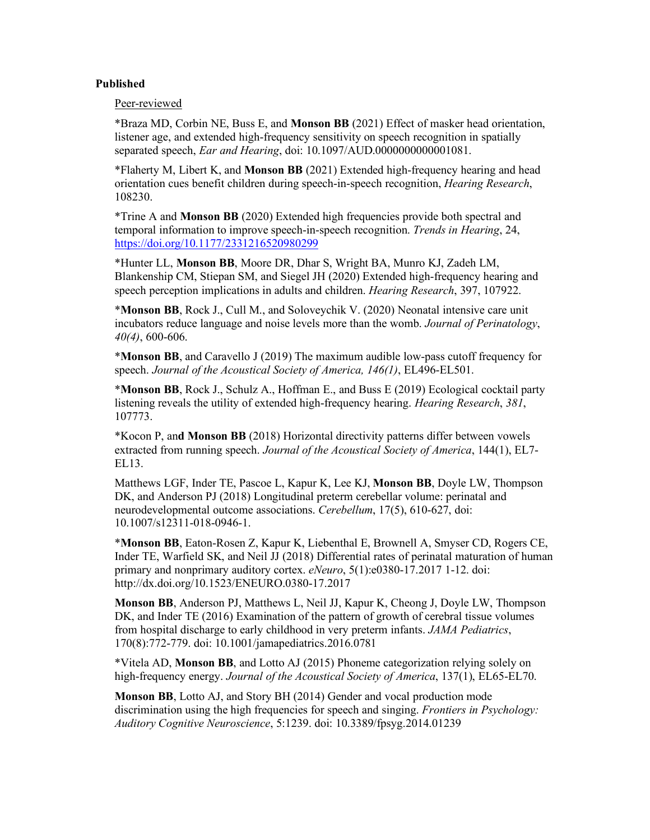### **Published**

Peer-reviewed

\*Braza MD, Corbin NE, Buss E, and **Monson BB** (2021) Effect of masker head orientation, listener age, and extended high-frequency sensitivity on speech recognition in spatially separated speech, *Ear and Hearing*, doi: 10.1097/AUD.0000000000001081.

\*Flaherty M, Libert K, and **Monson BB** (2021) Extended high-frequency hearing and head orientation cues benefit children during speech-in-speech recognition, *Hearing Research*, 108230.

\*Trine A and **Monson BB** (2020) Extended high frequencies provide both spectral and temporal information to improve speech-in-speech recognition. *Trends in Hearing*, 24, https://doi.org/10.1177/2331216520980299

\*Hunter LL, **Monson BB**, Moore DR, Dhar S, Wright BA, Munro KJ, Zadeh LM, Blankenship CM, Stiepan SM, and Siegel JH (2020) Extended high-frequency hearing and speech perception implications in adults and children. *Hearing Research*, 397, 107922.

\***Monson BB**, Rock J., Cull M., and Soloveychik V. (2020) Neonatal intensive care unit incubators reduce language and noise levels more than the womb. *Journal of Perinatology*, *40(4)*, 600-606.

\***Monson BB**, and Caravello J (2019) The maximum audible low-pass cutoff frequency for speech. *Journal of the Acoustical Society of America, 146(1)*, EL496-EL501.

\***Monson BB**, Rock J., Schulz A., Hoffman E., and Buss E (2019) Ecological cocktail party listening reveals the utility of extended high-frequency hearing. *Hearing Research*, *381*, 107773.

\*Kocon P, an**d Monson BB** (2018) Horizontal directivity patterns differ between vowels extracted from running speech. *Journal of the Acoustical Society of America*, 144(1), EL7- EL13.

Matthews LGF, Inder TE, Pascoe L, Kapur K, Lee KJ, **Monson BB**, Doyle LW, Thompson DK, and Anderson PJ (2018) Longitudinal preterm cerebellar volume: perinatal and neurodevelopmental outcome associations. *Cerebellum*, 17(5), 610-627, doi: 10.1007/s12311-018-0946-1.

\***Monson BB**, Eaton-Rosen Z, Kapur K, Liebenthal E, Brownell A, Smyser CD, Rogers CE, Inder TE, Warfield SK, and Neil JJ (2018) Differential rates of perinatal maturation of human primary and nonprimary auditory cortex. *eNeuro*, 5(1):e0380-17.2017 1-12. doi: http://dx.doi.org/10.1523/ENEURO.0380-17.2017

**Monson BB**, Anderson PJ, Matthews L, Neil JJ, Kapur K, Cheong J, Doyle LW, Thompson DK, and Inder TE (2016) Examination of the pattern of growth of cerebral tissue volumes from hospital discharge to early childhood in very preterm infants. *JAMA Pediatrics*, 170(8):772-779. doi: 10.1001/jamapediatrics.2016.0781

\*Vitela AD, **Monson BB**, and Lotto AJ (2015) Phoneme categorization relying solely on high-frequency energy. *Journal of the Acoustical Society of America*, 137(1), EL65-EL70.

**Monson BB**, Lotto AJ, and Story BH (2014) Gender and vocal production mode discrimination using the high frequencies for speech and singing. *Frontiers in Psychology: Auditory Cognitive Neuroscience*, 5:1239. doi: 10.3389/fpsyg.2014.01239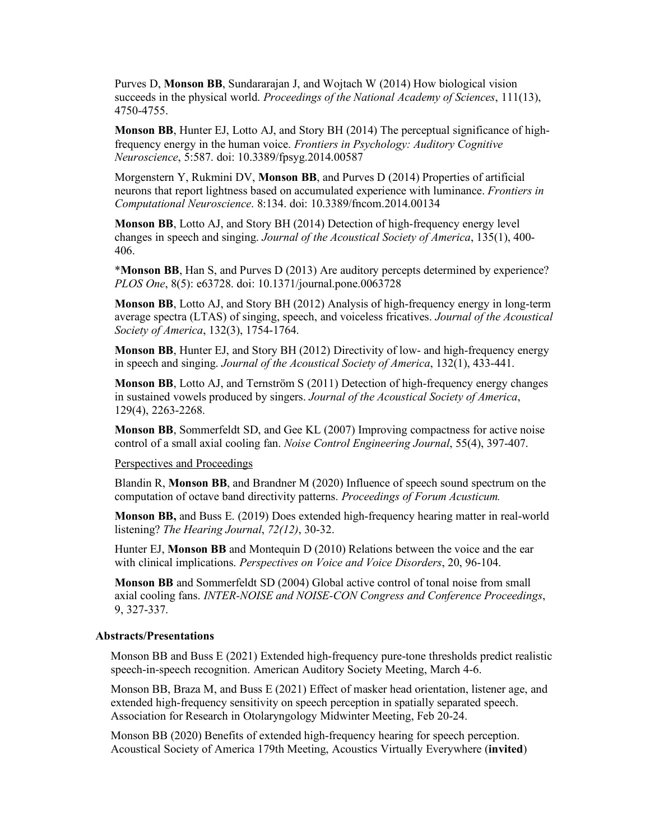Purves D, **Monson BB**, Sundararajan J, and Wojtach W (2014) How biological vision succeeds in the physical world. *Proceedings of the National Academy of Sciences*, 111(13), 4750-4755.

**Monson BB**, Hunter EJ, Lotto AJ, and Story BH (2014) The perceptual significance of highfrequency energy in the human voice. *Frontiers in Psychology: Auditory Cognitive Neuroscience*, 5:587. doi: 10.3389/fpsyg.2014.00587

Morgenstern Y, Rukmini DV, **Monson BB**, and Purves D (2014) Properties of artificial neurons that report lightness based on accumulated experience with luminance. *Frontiers in Computational Neuroscience*. 8:134. doi: 10.3389/fncom.2014.00134

**Monson BB**, Lotto AJ, and Story BH (2014) Detection of high-frequency energy level changes in speech and singing. *Journal of the Acoustical Society of America*, 135(1), 400- 406.

\***Monson BB**, Han S, and Purves D (2013) Are auditory percepts determined by experience? *PLOS One*, 8(5): e63728. doi: 10.1371/journal.pone.0063728

**Monson BB**, Lotto AJ, and Story BH (2012) Analysis of high-frequency energy in long-term average spectra (LTAS) of singing, speech, and voiceless fricatives. *Journal of the Acoustical Society of America*, 132(3), 1754-1764.

**Monson BB**, Hunter EJ, and Story BH (2012) Directivity of low- and high-frequency energy in speech and singing. *Journal of the Acoustical Society of America*, 132(1), 433-441.

**Monson BB**, Lotto AJ, and Ternström S (2011) Detection of high-frequency energy changes in sustained vowels produced by singers. *Journal of the Acoustical Society of America*, 129(4), 2263-2268.

**Monson BB**, Sommerfeldt SD, and Gee KL (2007) Improving compactness for active noise control of a small axial cooling fan. *Noise Control Engineering Journal*, 55(4), 397-407.

### Perspectives and Proceedings

Blandin R, **Monson BB**, and Brandner M (2020) Influence of speech sound spectrum on the computation of octave band directivity patterns. *Proceedings of Forum Acusticum.*

**Monson BB,** and Buss E. (2019) Does extended high-frequency hearing matter in real-world listening? *The Hearing Journal*, *72(12)*, 30-32.

Hunter EJ, **Monson BB** and Montequin D (2010) Relations between the voice and the ear with clinical implications. *Perspectives on Voice and Voice Disorders*, 20, 96-104.

**Monson BB** and Sommerfeldt SD (2004) Global active control of tonal noise from small axial cooling fans. *INTER-NOISE and NOISE-CON Congress and Conference Proceedings*, 9, 327-337.

#### **Abstracts/Presentations**

Monson BB and Buss E (2021) Extended high-frequency pure-tone thresholds predict realistic speech-in-speech recognition. American Auditory Society Meeting, March 4-6.

Monson BB, Braza M, and Buss E (2021) Effect of masker head orientation, listener age, and extended high-frequency sensitivity on speech perception in spatially separated speech. Association for Research in Otolaryngology Midwinter Meeting, Feb 20-24.

Monson BB (2020) Benefits of extended high-frequency hearing for speech perception. Acoustical Society of America 179th Meeting, Acoustics Virtually Everywhere (**invited**)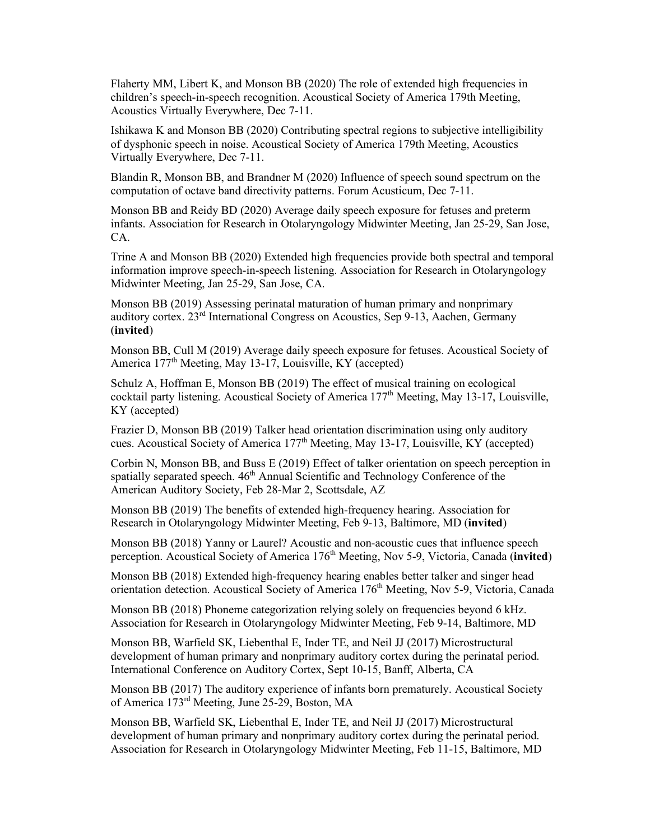Flaherty MM, Libert K, and Monson BB (2020) The role of extended high frequencies in children's speech-in-speech recognition. Acoustical Society of America 179th Meeting, Acoustics Virtually Everywhere, Dec 7-11.

Ishikawa K and Monson BB (2020) Contributing spectral regions to subjective intelligibility of dysphonic speech in noise. Acoustical Society of America 179th Meeting, Acoustics Virtually Everywhere, Dec 7-11.

Blandin R, Monson BB, and Brandner M (2020) Influence of speech sound spectrum on the computation of octave band directivity patterns. Forum Acusticum, Dec 7-11.

Monson BB and Reidy BD (2020) Average daily speech exposure for fetuses and preterm infants. Association for Research in Otolaryngology Midwinter Meeting, Jan 25-29, San Jose, CA.

Trine A and Monson BB (2020) Extended high frequencies provide both spectral and temporal information improve speech-in-speech listening. Association for Research in Otolaryngology Midwinter Meeting, Jan 25-29, San Jose, CA.

Monson BB (2019) Assessing perinatal maturation of human primary and nonprimary auditory cortex. 23rd International Congress on Acoustics, Sep 9-13, Aachen, Germany (**invited**)

Monson BB, Cull M (2019) Average daily speech exposure for fetuses. Acoustical Society of America 177<sup>th</sup> Meeting, May 13-17, Louisville, KY (accepted)

Schulz A, Hoffman E, Monson BB (2019) The effect of musical training on ecological cocktail party listening. Acoustical Society of America 177<sup>th</sup> Meeting, May 13-17, Louisville, KY (accepted)

Frazier D, Monson BB (2019) Talker head orientation discrimination using only auditory cues. Acoustical Society of America  $177<sup>th</sup>$  Meeting, May 13-17, Louisville, KY (accepted)

Corbin N, Monson BB, and Buss E (2019) Effect of talker orientation on speech perception in spatially separated speech.  $46<sup>th</sup>$  Annual Scientific and Technology Conference of the American Auditory Society, Feb 28-Mar 2, Scottsdale, AZ

Monson BB (2019) The benefits of extended high-frequency hearing. Association for Research in Otolaryngology Midwinter Meeting, Feb 9-13, Baltimore, MD (**invited**)

Monson BB (2018) Yanny or Laurel? Acoustic and non-acoustic cues that influence speech perception. Acoustical Society of America 176<sup>th</sup> Meeting, Nov 5-9, Victoria, Canada (invited)

Monson BB (2018) Extended high-frequency hearing enables better talker and singer head orientation detection. Acoustical Society of America 176th Meeting, Nov 5-9, Victoria, Canada

Monson BB (2018) Phoneme categorization relying solely on frequencies beyond 6 kHz. Association for Research in Otolaryngology Midwinter Meeting, Feb 9-14, Baltimore, MD

Monson BB, Warfield SK, Liebenthal E, Inder TE, and Neil JJ (2017) Microstructural development of human primary and nonprimary auditory cortex during the perinatal period. International Conference on Auditory Cortex, Sept 10-15, Banff, Alberta, CA

Monson BB (2017) The auditory experience of infants born prematurely. Acoustical Society of America 173rd Meeting, June 25-29, Boston, MA

Monson BB, Warfield SK, Liebenthal E, Inder TE, and Neil JJ (2017) Microstructural development of human primary and nonprimary auditory cortex during the perinatal period. Association for Research in Otolaryngology Midwinter Meeting, Feb 11-15, Baltimore, MD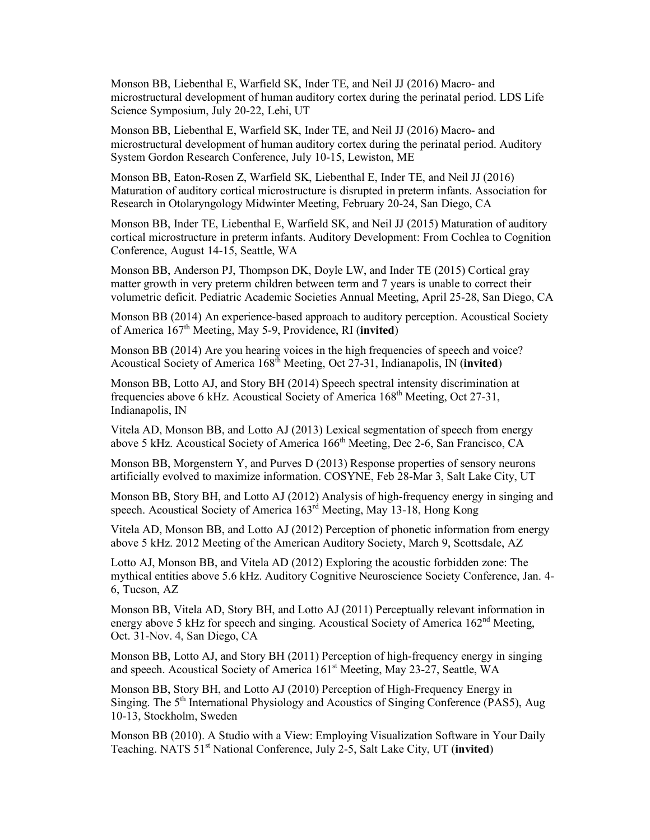Monson BB, Liebenthal E, Warfield SK, Inder TE, and Neil JJ (2016) Macro- and microstructural development of human auditory cortex during the perinatal period. LDS Life Science Symposium, July 20-22, Lehi, UT

Monson BB, Liebenthal E, Warfield SK, Inder TE, and Neil JJ (2016) Macro- and microstructural development of human auditory cortex during the perinatal period. Auditory System Gordon Research Conference, July 10-15, Lewiston, ME

Monson BB, Eaton-Rosen Z, Warfield SK, Liebenthal E, Inder TE, and Neil JJ (2016) Maturation of auditory cortical microstructure is disrupted in preterm infants. Association for Research in Otolaryngology Midwinter Meeting, February 20-24, San Diego, CA

Monson BB, Inder TE, Liebenthal E, Warfield SK, and Neil JJ (2015) Maturation of auditory cortical microstructure in preterm infants. Auditory Development: From Cochlea to Cognition Conference, August 14-15, Seattle, WA

Monson BB, Anderson PJ, Thompson DK, Doyle LW, and Inder TE (2015) Cortical gray matter growth in very preterm children between term and 7 years is unable to correct their volumetric deficit. Pediatric Academic Societies Annual Meeting, April 25-28, San Diego, CA

Monson BB (2014) An experience-based approach to auditory perception. Acoustical Society of America 167th Meeting, May 5-9, Providence, RI (**invited**)

Monson BB (2014) Are you hearing voices in the high frequencies of speech and voice? Acoustical Society of America 168th Meeting, Oct 27-31, Indianapolis, IN (**invited**)

Monson BB, Lotto AJ, and Story BH (2014) Speech spectral intensity discrimination at frequencies above 6 kHz. Acoustical Society of America 168<sup>th</sup> Meeting, Oct 27-31, Indianapolis, IN

Vitela AD, Monson BB, and Lotto AJ (2013) Lexical segmentation of speech from energy above 5 kHz. Acoustical Society of America 166<sup>th</sup> Meeting, Dec 2-6, San Francisco, CA

Monson BB, Morgenstern Y, and Purves D (2013) Response properties of sensory neurons artificially evolved to maximize information. COSYNE, Feb 28-Mar 3, Salt Lake City, UT

Monson BB, Story BH, and Lotto AJ (2012) Analysis of high-frequency energy in singing and speech. Acoustical Society of America 163<sup>rd</sup> Meeting, May 13-18, Hong Kong

Vitela AD, Monson BB, and Lotto AJ (2012) Perception of phonetic information from energy above 5 kHz. 2012 Meeting of the American Auditory Society, March 9, Scottsdale, AZ

Lotto AJ, Monson BB, and Vitela AD (2012) Exploring the acoustic forbidden zone: The mythical entities above 5.6 kHz. Auditory Cognitive Neuroscience Society Conference, Jan. 4- 6, Tucson, AZ

Monson BB, Vitela AD, Story BH, and Lotto AJ (2011) Perceptually relevant information in energy above 5 kHz for speech and singing. Acoustical Society of America  $162<sup>nd</sup>$  Meeting, Oct. 31-Nov. 4, San Diego, CA

Monson BB, Lotto AJ, and Story BH (2011) Perception of high-frequency energy in singing and speech. Acoustical Society of America 161<sup>st</sup> Meeting, May 23-27, Seattle, WA

Monson BB, Story BH, and Lotto AJ (2010) Perception of High-Frequency Energy in Singing. The 5<sup>th</sup> International Physiology and Acoustics of Singing Conference (PAS5), Aug 10-13, Stockholm, Sweden

Monson BB (2010). A Studio with a View: Employing Visualization Software in Your Daily Teaching. NATS 51st National Conference, July 2-5, Salt Lake City, UT (**invited**)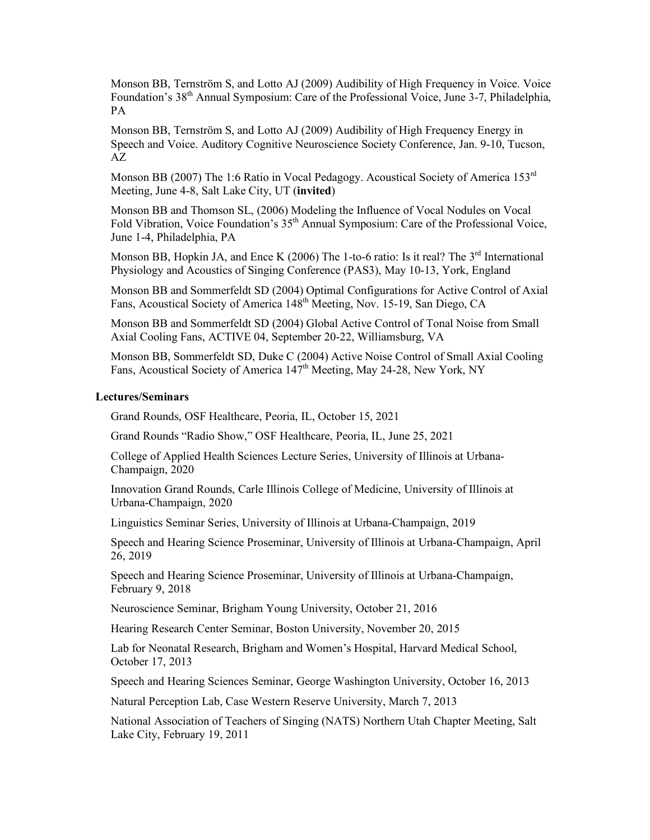Monson BB, Ternström S, and Lotto AJ (2009) Audibility of High Frequency in Voice. Voice Foundation's 38<sup>th</sup> Annual Symposium: Care of the Professional Voice, June 3-7, Philadelphia, PA

Monson BB, Ternström S, and Lotto AJ (2009) Audibility of High Frequency Energy in Speech and Voice. Auditory Cognitive Neuroscience Society Conference, Jan. 9-10, Tucson, AZ

Monson BB (2007) The 1:6 Ratio in Vocal Pedagogy. Acoustical Society of America 153<sup>rd</sup> Meeting, June 4-8, Salt Lake City, UT (**invited**)

Monson BB and Thomson SL, (2006) Modeling the Influence of Vocal Nodules on Vocal Fold Vibration, Voice Foundation's 35<sup>th</sup> Annual Symposium: Care of the Professional Voice, June 1-4, Philadelphia, PA

Monson BB, Hopkin JA, and Ence K (2006) The 1-to-6 ratio: Is it real? The  $3<sup>rd</sup>$  International Physiology and Acoustics of Singing Conference (PAS3), May 10-13, York, England

Monson BB and Sommerfeldt SD (2004) Optimal Configurations for Active Control of Axial Fans, Acoustical Society of America 148<sup>th</sup> Meeting, Nov. 15-19, San Diego, CA

Monson BB and Sommerfeldt SD (2004) Global Active Control of Tonal Noise from Small Axial Cooling Fans, ACTIVE 04, September 20-22, Williamsburg, VA

Monson BB, Sommerfeldt SD, Duke C (2004) Active Noise Control of Small Axial Cooling Fans, Acoustical Society of America 147<sup>th</sup> Meeting, May 24-28, New York, NY

### **Lectures/Seminars**

Grand Rounds, OSF Healthcare, Peoria, IL, October 15, 2021

Grand Rounds "Radio Show," OSF Healthcare, Peoria, IL, June 25, 2021

College of Applied Health Sciences Lecture Series, University of Illinois at Urbana-Champaign, 2020

Innovation Grand Rounds, Carle Illinois College of Medicine, University of Illinois at Urbana-Champaign, 2020

Linguistics Seminar Series, University of Illinois at Urbana-Champaign, 2019

Speech and Hearing Science Proseminar, University of Illinois at Urbana-Champaign, April 26, 2019

Speech and Hearing Science Proseminar, University of Illinois at Urbana-Champaign, February 9, 2018

Neuroscience Seminar, Brigham Young University, October 21, 2016

Hearing Research Center Seminar, Boston University, November 20, 2015

Lab for Neonatal Research, Brigham and Women's Hospital, Harvard Medical School, October 17, 2013

Speech and Hearing Sciences Seminar, George Washington University, October 16, 2013

Natural Perception Lab, Case Western Reserve University, March 7, 2013

National Association of Teachers of Singing (NATS) Northern Utah Chapter Meeting, Salt Lake City, February 19, 2011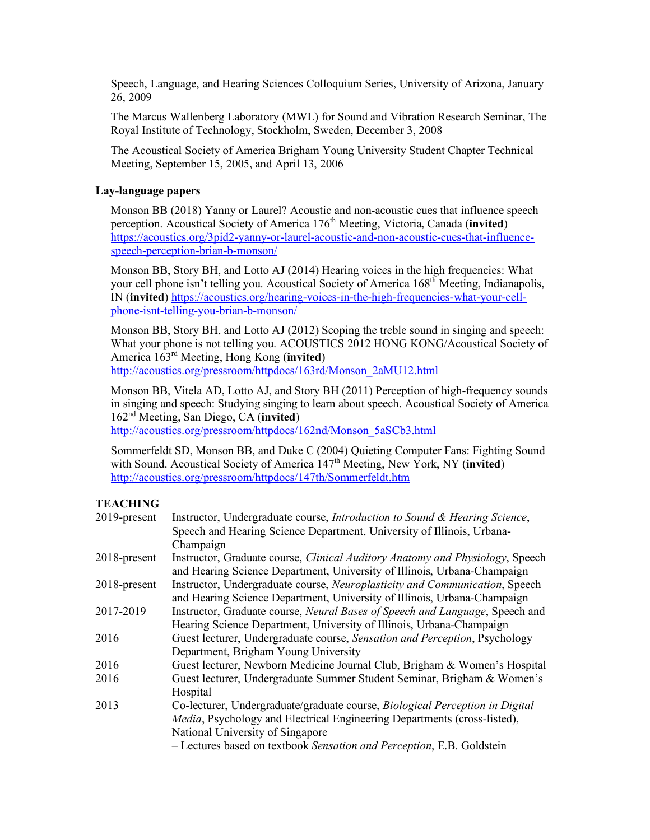Speech, Language, and Hearing Sciences Colloquium Series, University of Arizona, January 26, 2009

The Marcus Wallenberg Laboratory (MWL) for Sound and Vibration Research Seminar, The Royal Institute of Technology, Stockholm, Sweden, December 3, 2008

The Acoustical Society of America Brigham Young University Student Chapter Technical Meeting, September 15, 2005, and April 13, 2006

### **Lay-language papers**

Monson BB (2018) Yanny or Laurel? Acoustic and non-acoustic cues that influence speech perception. Acoustical Society of America 176<sup>th</sup> Meeting, Victoria, Canada (**invited**) https://acoustics.org/3pid2-yanny-or-laurel-acoustic-and-non-acoustic-cues-that-influencespeech-perception-brian-b-monson/

Monson BB, Story BH, and Lotto AJ (2014) Hearing voices in the high frequencies: What your cell phone isn't telling you. Acoustical Society of America 168<sup>th</sup> Meeting, Indianapolis, IN (**invited**) https://acoustics.org/hearing-voices-in-the-high-frequencies-what-your-cellphone-isnt-telling-you-brian-b-monson/

Monson BB, Story BH, and Lotto AJ (2012) Scoping the treble sound in singing and speech: What your phone is not telling you. ACOUSTICS 2012 HONG KONG/Acoustical Society of America 163rd Meeting, Hong Kong (**invited**) http://acoustics.org/pressroom/httpdocs/163rd/Monson\_2aMU12.html

Monson BB, Vitela AD, Lotto AJ, and Story BH (2011) Perception of high-frequency sounds in singing and speech: Studying singing to learn about speech. Acoustical Society of America 162nd Meeting, San Diego, CA (**invited**)

http://acoustics.org/pressroom/httpdocs/162nd/Monson\_5aSCb3.html

Sommerfeldt SD, Monson BB, and Duke C (2004) Quieting Computer Fans: Fighting Sound with Sound. Acoustical Society of America 147<sup>th</sup> Meeting, New York, NY (**invited**) http://acoustics.org/pressroom/httpdocs/147th/Sommerfeldt.htm

# **TEACHING**

| 2019-present | Instructor, Undergraduate course, Introduction to Sound & Hearing Science,                                                                                        |
|--------------|-------------------------------------------------------------------------------------------------------------------------------------------------------------------|
|              | Speech and Hearing Science Department, University of Illinois, Urbana-                                                                                            |
|              | Champaign                                                                                                                                                         |
| 2018-present | Instructor, Graduate course, <i>Clinical Auditory Anatomy and Physiology</i> , Speech<br>and Hearing Science Department, University of Illinois, Urbana-Champaign |
| 2018-present | Instructor, Undergraduate course, Neuroplasticity and Communication, Speech                                                                                       |
|              | and Hearing Science Department, University of Illinois, Urbana-Champaign                                                                                          |
| 2017-2019    | Instructor, Graduate course, Neural Bases of Speech and Language, Speech and                                                                                      |
|              | Hearing Science Department, University of Illinois, Urbana-Champaign                                                                                              |
| 2016         | Guest lecturer, Undergraduate course, Sensation and Perception, Psychology                                                                                        |
|              | Department, Brigham Young University                                                                                                                              |
| 2016         | Guest lecturer, Newborn Medicine Journal Club, Brigham & Women's Hospital                                                                                         |
| 2016         | Guest lecturer, Undergraduate Summer Student Seminar, Brigham & Women's                                                                                           |
|              | Hospital                                                                                                                                                          |
| 2013         | Co-lecturer, Undergraduate/graduate course, Biological Perception in Digital                                                                                      |
|              | Media, Psychology and Electrical Engineering Departments (cross-listed),                                                                                          |
|              | National University of Singapore                                                                                                                                  |
|              | - Lectures based on textbook Sensation and Perception, E.B. Goldstein                                                                                             |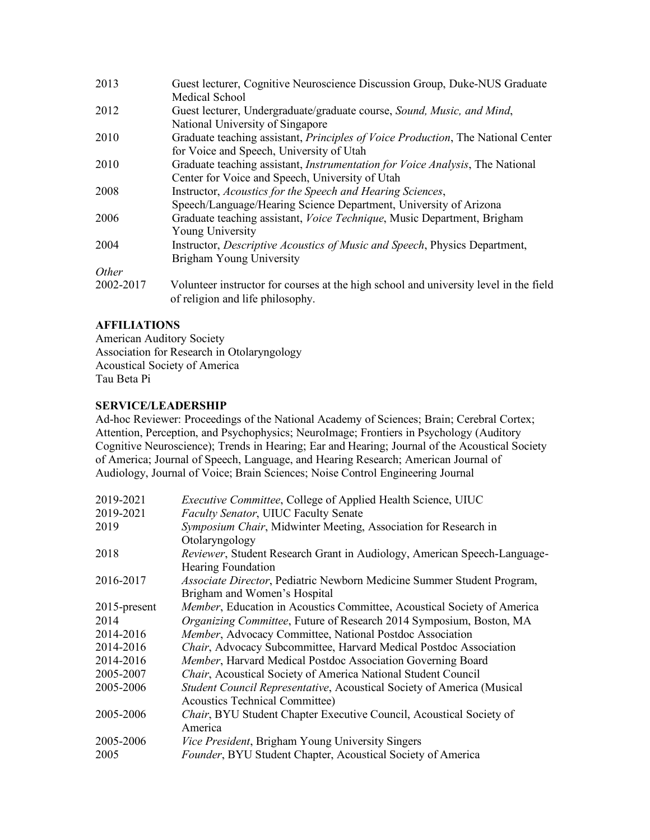| 2013         | Guest lecturer, Cognitive Neuroscience Discussion Group, Duke-NUS Graduate<br><b>Medical School</b>                          |
|--------------|------------------------------------------------------------------------------------------------------------------------------|
| 2012         | Guest lecturer, Undergraduate/graduate course, Sound, Music, and Mind,<br>National University of Singapore                   |
| 2010         | Graduate teaching assistant, Principles of Voice Production, The National Center<br>for Voice and Speech, University of Utah |
| 2010         | Graduate teaching assistant, <i>Instrumentation for Voice Analysis</i> , The National                                        |
|              | Center for Voice and Speech, University of Utah                                                                              |
| 2008         | Instructor, Acoustics for the Speech and Hearing Sciences,                                                                   |
|              | Speech/Language/Hearing Science Department, University of Arizona                                                            |
| 2006         | Graduate teaching assistant, <i>Voice Technique</i> , Music Department, Brigham                                              |
|              | Young University                                                                                                             |
| 2004         | Instructor, <i>Descriptive Acoustics of Music and Speech</i> , <i>Physics Department</i> ,                                   |
|              | Brigham Young University                                                                                                     |
| <i>Other</i> |                                                                                                                              |
| 2002-2017    | Volunteer instructor for courses at the high school and university level in the field<br>of religion and life philosophy.    |

## **AFFILIATIONS**

American Auditory Society Association for Research in Otolaryngology Acoustical Society of America Tau Beta Pi

## **SERVICE/LEADERSHIP**

Ad-hoc Reviewer: Proceedings of the National Academy of Sciences; Brain; Cerebral Cortex; Attention, Perception, and Psychophysics; NeuroImage; Frontiers in Psychology (Auditory Cognitive Neuroscience); Trends in Hearing; Ear and Hearing; Journal of the Acoustical Society of America; Journal of Speech, Language, and Hearing Research; American Journal of Audiology, Journal of Voice; Brain Sciences; Noise Control Engineering Journal

| 2019-2021    | Executive Committee, College of Applied Health Science, UIUC             |
|--------------|--------------------------------------------------------------------------|
| 2019-2021    | <b>Faculty Senator, UIUC Faculty Senate</b>                              |
| 2019         | Symposium Chair, Midwinter Meeting, Association for Research in          |
|              | Otolaryngology                                                           |
| 2018         | Reviewer, Student Research Grant in Audiology, American Speech-Language- |
|              | <b>Hearing Foundation</b>                                                |
| 2016-2017    | Associate Director, Pediatric Newborn Medicine Summer Student Program,   |
|              | Brigham and Women's Hospital                                             |
| 2015-present | Member, Education in Acoustics Committee, Acoustical Society of America  |
| 2014         | Organizing Committee, Future of Research 2014 Symposium, Boston, MA      |
| 2014-2016    | Member, Advocacy Committee, National Postdoc Association                 |
| 2014-2016    | Chair, Advocacy Subcommittee, Harvard Medical Postdoc Association        |
| 2014-2016    | Member, Harvard Medical Postdoc Association Governing Board              |
| 2005-2007    | Chair, Acoustical Society of America National Student Council            |
| 2005-2006    | Student Council Representative, Acoustical Society of America (Musical   |
|              | <b>Acoustics Technical Committee)</b>                                    |
| 2005-2006    | Chair, BYU Student Chapter Executive Council, Acoustical Society of      |
|              | America                                                                  |
| 2005-2006    | Vice President, Brigham Young University Singers                         |
| 2005         | Founder, BYU Student Chapter, Acoustical Society of America              |
|              |                                                                          |